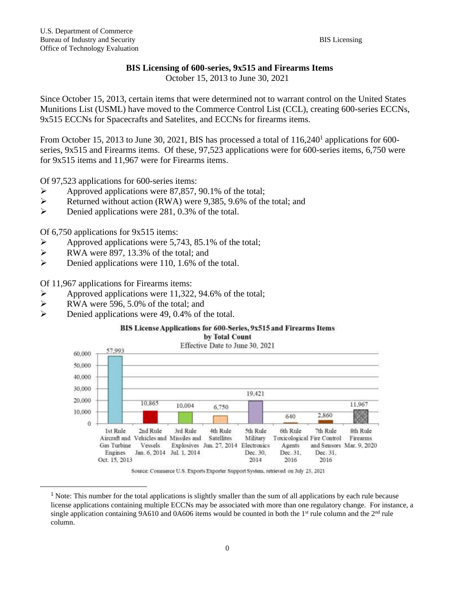## **BIS Licensing of 600-series, 9x515 and Firearms Items**

October 15, 2013 to June 30, 2021

Since October 15, 2013, certain items that were determined not to warrant control on the United States Munitions List (USML) have moved to the Commerce Control List (CCL), creating 600-series ECCNs, 9x515 ECCNs for Spacecrafts and Satelites, and ECCNs for firearms items.

From October 15, 2013 to June 30, 2021, BIS has processed a total of  $116,240<sup>1</sup>$  applications for 600series, 9x515 and Firearms items. Of these, 97,523 applications were for 600-series items, 6,750 were for 9x515 items and 11,967 were for Firearms items.

Of 97,523 applications for 600-series items:

- ➢ Approved applications were 87,857, 90.1% of the total;
- ➢ Returned without action (RWA) were 9,385, 9.6% of the total; and
- ➢ Denied applications were 281, 0.3% of the total.

Of 6,750 applications for 9x515 items:

- ➢ Approved applications were 5,743, 85.1% of the total;
- ➢ RWA were 897, 13.3% of the total; and
- ➢ Denied applications were 110, 1.6% of the total.

Of 11,967 applications for Firearms items:

- $\triangleright$  Approved applications were 11,322, 94.6% of the total;<br> $\triangleright$  RWA were 596, 5.0% of the total: and
- RWA were 596, 5.0% of the total; and
- ➢ Denied applications were 49, 0.4% of the total.

### BIS License Applications for 600-Series, 9x515 and Firearms Items





Source: Commerce U.S. Exports Exporter Support System, retrieved on July 23, 2021

<sup>&</sup>lt;sup>1</sup> Note: This number for the total applications is slightly smaller than the sum of all applications by each rule because license applications containing multiple ECCNs may be associated with more than one regulatory change. For instance, a single application containing 9A610 and 0A606 items would be counted in both the  $1<sup>st</sup>$  rule column and the  $2<sup>nd</sup>$  rule column.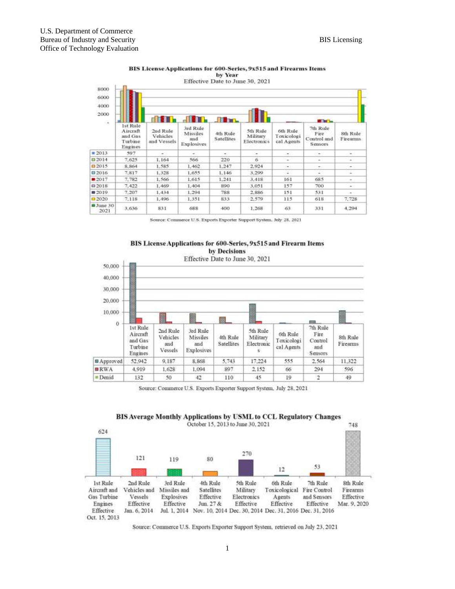|                                                          |                                                              |                                     |                                           |                               | Effective Date to June 30, 2021     |                                      |                                            |                             |  |
|----------------------------------------------------------|--------------------------------------------------------------|-------------------------------------|-------------------------------------------|-------------------------------|-------------------------------------|--------------------------------------|--------------------------------------------|-----------------------------|--|
| 8000<br>6000<br>4000<br>2000<br>$\overline{\phantom{a}}$ |                                                              | an batta.                           |                                           |                               |                                     |                                      |                                            |                             |  |
|                                                          | <b>Ist Rule</b><br>Aircraft<br>and Gas<br>Turbine<br>Engines | 2nd Rule<br>Vehicles<br>and Vessels | 3rd Rule<br>Missiles<br>and<br>Explosives | 4th Rule<br><b>Satellites</b> | 5th Rule<br>Military<br>Electronics | 6th Rule<br>Toxicologi<br>cal Agents | 7th Rule<br>Fire<br>Control and<br>Sensors | 8th Rule<br><b>Firearms</b> |  |
| 2013                                                     | 597                                                          | $\sim$ .                            | ×.                                        | $\sim$                        | $\overline{\phantom{a}}$            | $\sim$                               | $-1$                                       | $\sim$                      |  |
| 0.2014                                                   | 7.625                                                        | 1.164                               | 566                                       | 220                           | ä                                   | w.                                   | $\sim$                                     | $\sim$                      |  |
| $\Box$ 2015                                              | 8,864                                                        | 1.585                               | 1.462                                     | 1,247                         | 2.924                               | $\sim$                               | $\sim$                                     | $\sim$                      |  |
| □2016                                                    | 7.817                                                        | 1.328                               | 1.655                                     | 1,146                         | 3.299                               | Ξ                                    | $\sim$                                     | $\sim$                      |  |
| 2017                                                     | 7,782                                                        | 1,566                               | 1.615                                     | 1.241                         | 3.418                               | 161                                  | 685                                        | $\sim$                      |  |
| 02018                                                    | 7,422                                                        | 1,469                               | 1.404                                     | 890                           | 3.051                               | 157                                  | 700                                        | ÷.                          |  |
| 02019                                                    | 7.207                                                        | 1.434                               | 1.294                                     | 788                           | 2,886                               | 151                                  | 531                                        | $\sim$                      |  |
| $-2020$                                                  | 7.118                                                        | 1.496                               | 1.351                                     | 833                           | 2.579                               | 115                                  | 618                                        | 7.728                       |  |
| $J$ une 30<br>2021                                       | 3.636                                                        | 831                                 | 688                                       | 400                           | 1.268                               | 63                                   | 331                                        | 4.294                       |  |

#### BIS License Applications for 600-Series, 9x515 and Firearms Items by Year

Source: Commerce U.S. Exports Exporter Support System, July 28, 2021



## BIS License Applications for 600-Series, 9x515 and Firearm Items

Source: Commerce U.S. Exports Exporter Support System, July 28, 2021



# BIS Average Monthly Applications by USML to CCL Regulatory Changes

Source: Commerce U.S. Exports Exporter Support System, retrieved on July 23, 2021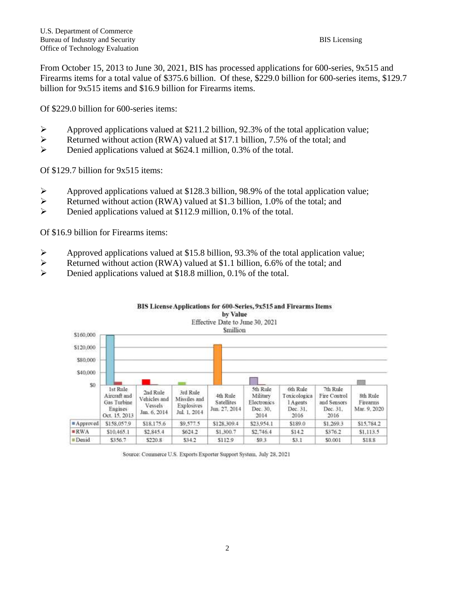From October 15, 2013 to June 30, 2021, BIS has processed applications for 600-series, 9x515 and Firearms items for a total value of \$375.6 billion. Of these, \$229.0 billion for 600-series items, \$129.7 billion for 9x515 items and \$16.9 billion for Firearms items.

Of \$229.0 billion for 600-series items:

- ➢ Approved applications valued at \$211.2 billion, 92.3% of the total application value;
- ➢ Returned without action (RWA) valued at \$17.1 billion, 7.5% of the total; and
- ➢ Denied applications valued at \$624.1 million, 0.3% of the total.

Of \$129.7 billion for 9x515 items:

- ➢ Approved applications valued at \$128.3 billion, 98.9% of the total application value;
- ➢ Returned without action (RWA) valued at \$1.3 billion, 1.0% of the total; and
- ➢ Denied applications valued at \$112.9 million, 0.1% of the total.

Of \$16.9 billion for Firearms items:

- ➢ Approved applications valued at \$15.8 billion, 93.3% of the total application value;
- Example 2 Returned without action (RWA) valued at \$1.1 billion, 6.6% of the total; and<br>
Denied applications valued at \$18.8 million, 0.1% of the total
- Denied applications valued at \$18.8 million, 0.1% of the total.



Source: Commerce U.S. Exports Exporter Support System, July 28, 2021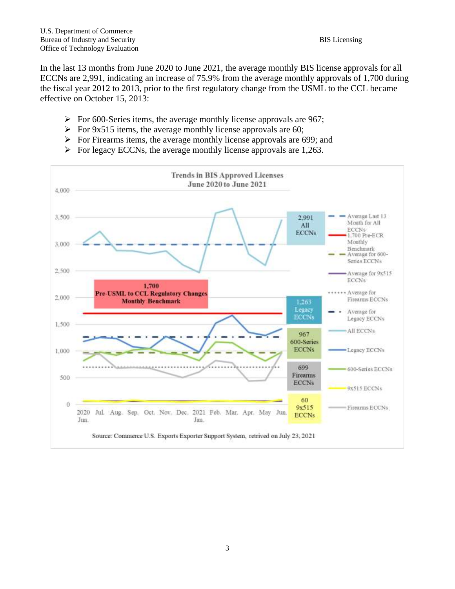In the last 13 months from June 2020 to June 2021, the average monthly BIS license approvals for all ECCNs are 2,991, indicating an increase of 75.9% from the average monthly approvals of 1,700 during the fiscal year 2012 to 2013, prior to the first regulatory change from the USML to the CCL became effective on October 15, 2013:

- $\triangleright$  For 600-Series items, the average monthly license approvals are 967;
- $\triangleright$  For 9x515 items, the average monthly license approvals are 60;
- ➢ For Firearms items, the average monthly license approvals are 699; and
- $\triangleright$  For legacy ECCNs, the average monthly license approvals are 1,263.

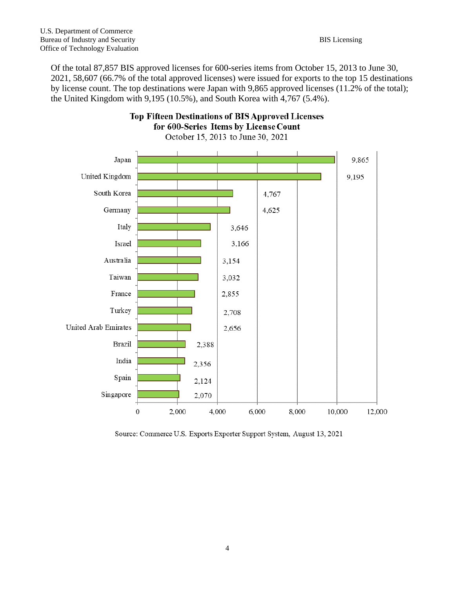Of the total 87,857 BIS approved licenses for 600-series items from October 15, 2013 to June 30, 2021, 58,607 (66.7% of the total approved licenses) were issued for exports to the top 15 destinations by license count. The top destinations were Japan with 9,865 approved licenses (11.2% of the total); the United Kingdom with 9,195 (10.5%), and South Korea with 4,767 (5.4%).



**Top Fifteen Destinations of BIS Approved Licenses** 

Source: Commerce U.S. Exports Exporter Support System, August 13, 2021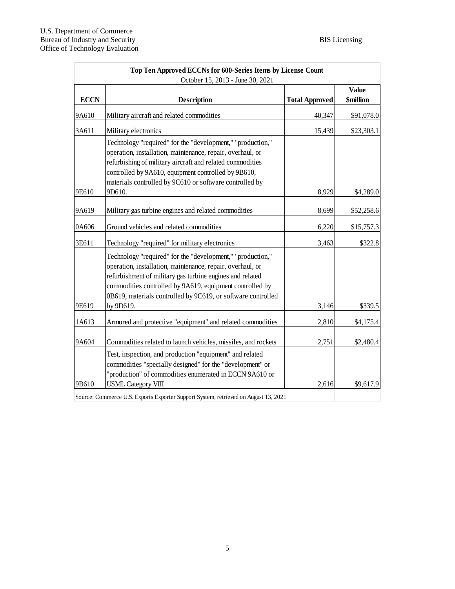| Top Ten Approved ECCNs for 600-Series Items by License Count<br>October 15, 2013 - June 30, 2021 |                                                                                                                                                                                                                                                                                                                   |                       |                                  |  |  |  |
|--------------------------------------------------------------------------------------------------|-------------------------------------------------------------------------------------------------------------------------------------------------------------------------------------------------------------------------------------------------------------------------------------------------------------------|-----------------------|----------------------------------|--|--|--|
| <b>ECCN</b>                                                                                      | <b>Description</b>                                                                                                                                                                                                                                                                                                | <b>Total Approved</b> | <b>Value</b><br><b>\$million</b> |  |  |  |
| 9A610                                                                                            | Military aircraft and related commodities                                                                                                                                                                                                                                                                         | 40,347                | \$91,078.0                       |  |  |  |
| 3A611                                                                                            | Military electronics                                                                                                                                                                                                                                                                                              | 15,439                | \$23,303.1                       |  |  |  |
|                                                                                                  | Technology "required" for the "development," "production,"<br>operation, installation, maintenance, repair, overhaul, or<br>refurbishing of military aircraft and related commodities<br>controlled by 9A610, equipment controlled by 9B610,<br>materials controlled by 9C610 or software controlled by           |                       |                                  |  |  |  |
| 9E610                                                                                            | 9D610.                                                                                                                                                                                                                                                                                                            | 8,929                 | \$4,289.0                        |  |  |  |
| 9A619                                                                                            | Military gas turbine engines and related commodities                                                                                                                                                                                                                                                              | 8,699                 | \$52,258.6                       |  |  |  |
| 0A606                                                                                            | Ground vehicles and related commodities                                                                                                                                                                                                                                                                           | 6,220                 | \$15,757.3                       |  |  |  |
| 3E611                                                                                            | Technology "required" for military electronics                                                                                                                                                                                                                                                                    | 3,463                 | \$322.8                          |  |  |  |
|                                                                                                  | Technology "required" for the "development," "production,"<br>operation, installation, maintenance, repair, overhaul, or<br>refurbishment of military gas turbine engines and related<br>commodities controlled by 9A619, equipment controlled by<br>0B619, materials controlled by 9C619, or software controlled |                       |                                  |  |  |  |
| 9E619                                                                                            | by 9D619.                                                                                                                                                                                                                                                                                                         | 3,146                 | \$339.5                          |  |  |  |
| 1A613                                                                                            | Armored and protective "equipment" and related commodities                                                                                                                                                                                                                                                        | 2,810                 | \$4,175.4                        |  |  |  |
| 9A604                                                                                            | Commodities related to launch vehicles, missiles, and rockets                                                                                                                                                                                                                                                     | 2,751                 | \$2,480.4                        |  |  |  |
| 9B610                                                                                            | Test, inspection, and production "equipment" and related<br>commodities "specially designed" for the "development" or<br>"production" of commodities enumerated in ECCN 9A610 or<br><b>USML</b> Category VIII                                                                                                     | 2,616                 | \$9,617.9                        |  |  |  |